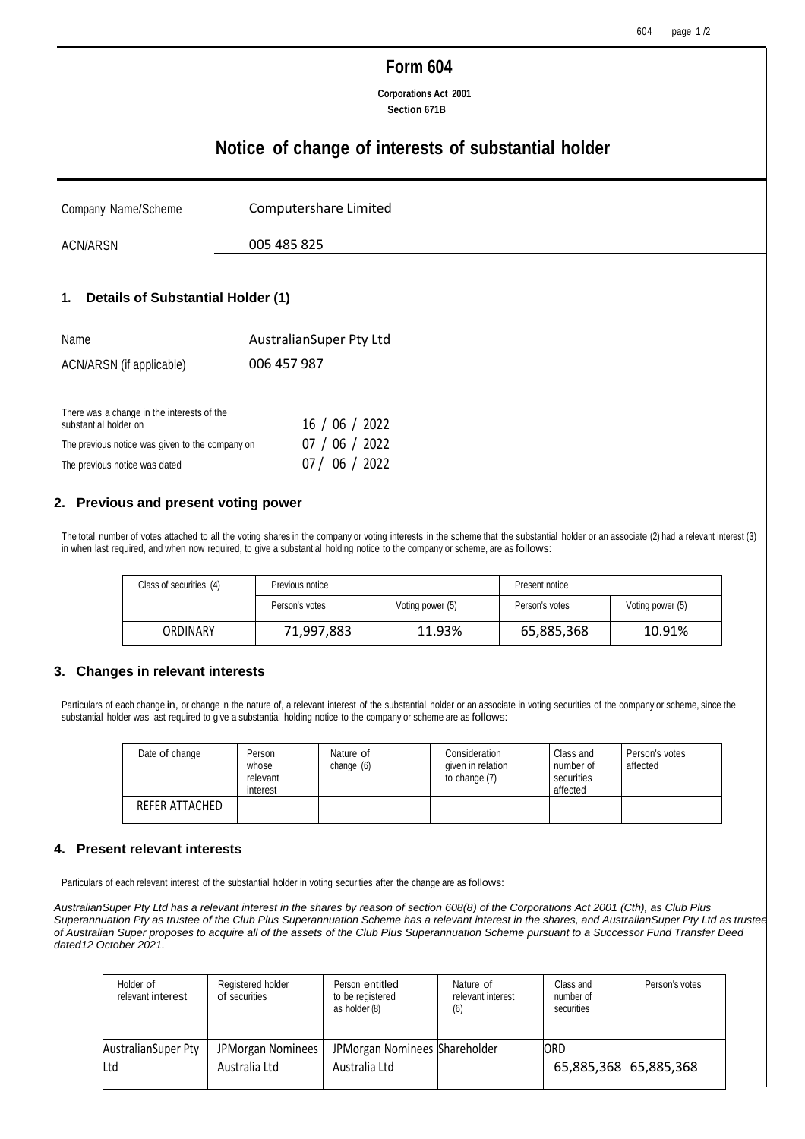## **Form 604**

**Corporations Act 2001 Section 671B**

## **Notice of change of interests of substantial holder**

| Company Name/Scheme | Computershare Limited |
|---------------------|-----------------------|
| ACN/ARSN            | 005 485 825           |

#### **1. Details of Substantial Holder (1)**

| Name                                                                | AustralianSuper Pty Ltd |  |  |  |
|---------------------------------------------------------------------|-------------------------|--|--|--|
| ACN/ARSN (if applicable)                                            | 006 457 987             |  |  |  |
|                                                                     |                         |  |  |  |
| There was a change in the interests of the<br>substantial holder on | 16 / 06 / 2022          |  |  |  |
| The previous notice was given to the company on                     | $'$ 06 / 2022<br>07/    |  |  |  |

## **2. Previous and present voting power**

The previous notice was dated 07 / 06 / 2022

The total number of votes attached to all the voting shares in the company or voting interests in the scheme that the substantial holder or an associate (2) had a relevant interest (3) in when last required, and when now required, to give a substantial holding notice to the company or scheme, are as follows:

| Class of securities (4) | Previous notice |                  | Present notice |                  |
|-------------------------|-----------------|------------------|----------------|------------------|
|                         | Person's votes  | Voting power (5) | Person's votes | Voting power (5) |
| ORDINARY                | 71,997,883      | 11.93%           | 65,885,368     | 10.91%           |

#### **3. Changes in relevant interests**

Particulars of each change in, or change in the nature of, a relevant interest of the substantial holder or an associate in voting securities of the company or scheme, since the substantial holder was last required to give a substantial holding notice to the company or scheme are as follows:

| Date of change | Person<br>whose<br>relevant<br>interest | Nature of<br>change $(6)$ | Consideration<br>given in relation<br>to change (7) | Class and<br>number of<br>securities<br>affected | Person's votes<br>affected |
|----------------|-----------------------------------------|---------------------------|-----------------------------------------------------|--------------------------------------------------|----------------------------|
| REFER ATTACHED |                                         |                           |                                                     |                                                  |                            |

#### **4. Present relevant interests**

Particulars of each relevant interest of the substantial holder in voting securities after the change are as follows:

*AustralianSuper Pty Ltd has a relevant interest in the shares by reason of section 608(8) of the Corporations Act 2001 (Cth), as Club Plus Superannuation Pty as trustee of the Club Plus Superannuation Scheme has a relevant interest in the shares, and AustralianSuper Pty Ltd as trustee of Australian Super proposes to acquire all of the assets of the Club Plus Superannuation Scheme pursuant to a Successor Fund Transfer Deed dated12 October 2021.*

| Holder of<br>relevant interest | Registered holder<br>of securities | Person entitled<br>to be registered<br>as holder (8) | Nature of<br>relevant interest<br>(6) | Class and<br>number of<br>securities | Person's votes |
|--------------------------------|------------------------------------|------------------------------------------------------|---------------------------------------|--------------------------------------|----------------|
| AustralianSuper Pty<br>Ltd     | JPMorgan Nominees<br>Australia Ltd | JPMorgan Nominees Shareholder<br>Australia Ltd       |                                       | <b>ORD</b><br>65,885,368 65,885,368  |                |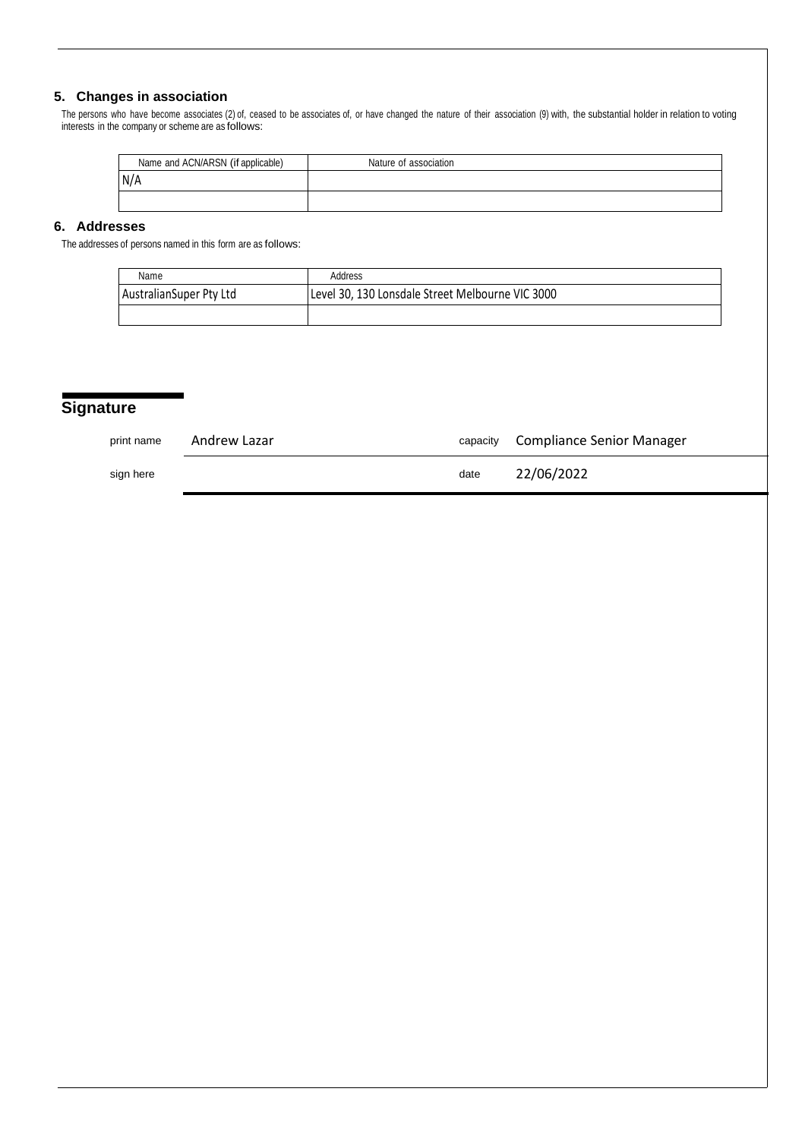### **5. Changes in association**

The persons who have become associates (2) of, ceased to be associates of, or have changed the nature of their association (9) with, the substantial holder in relation to voting interests in the company or scheme are as follows:

| Name and ACN/ARSN (if applicable) | Nature of association |
|-----------------------------------|-----------------------|
| N/A                               |                       |
|                                   |                       |

## **6. Addresses**

The addresses of persons named in this form are as follows:

| Name                    | Address                                          |
|-------------------------|--------------------------------------------------|
| AustralianSuper Pty Ltd | Level 30, 130 Lonsdale Street Melbourne VIC 3000 |
|                         |                                                  |

# **Signature**

| print name | Andrew Lazar | capacity | Compliance Senior Manager |
|------------|--------------|----------|---------------------------|
| sign here  |              | date     | 22/06/2022                |